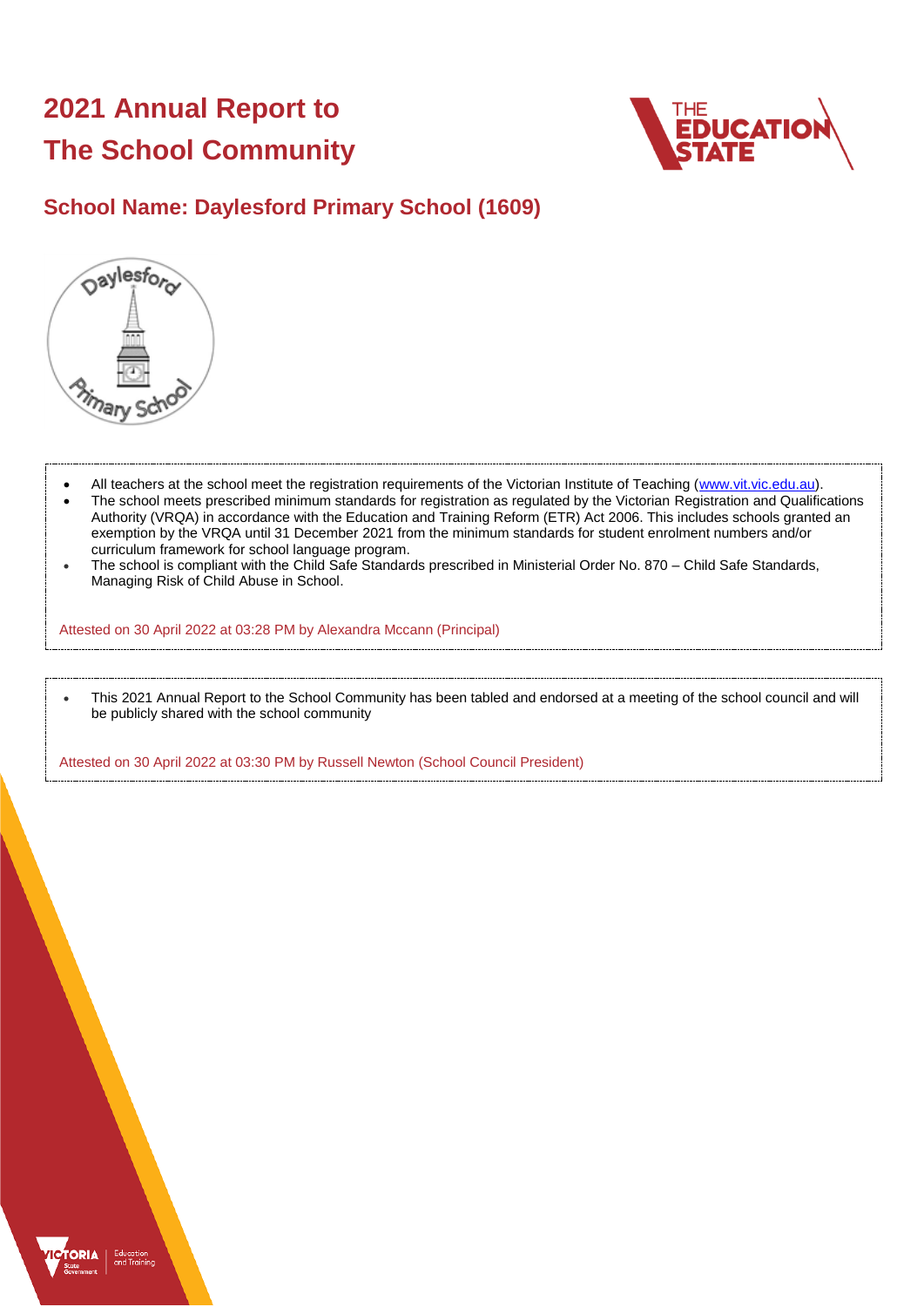# **2021 Annual Report to The School Community**



## **School Name: Daylesford Primary School (1609)**



- All teachers at the school meet the registration requirements of the Victorian Institute of Teaching [\(www.vit.vic.edu.au\)](https://www.vit.vic.edu.au/).
- The school meets prescribed minimum standards for registration as regulated by the Victorian Registration and Qualifications Authority (VRQA) in accordance with the Education and Training Reform (ETR) Act 2006. This includes schools granted an exemption by the VRQA until 31 December 2021 from the minimum standards for student enrolment numbers and/or curriculum framework for school language program.
- The school is compliant with the Child Safe Standards prescribed in Ministerial Order No. 870 Child Safe Standards, Managing Risk of Child Abuse in School.

Attested on 30 April 2022 at 03:28 PM by Alexandra Mccann (Principal)

 This 2021 Annual Report to the School Community has been tabled and endorsed at a meeting of the school council and will be publicly shared with the school community

Attested on 30 April 2022 at 03:30 PM by Russell Newton (School Council President)

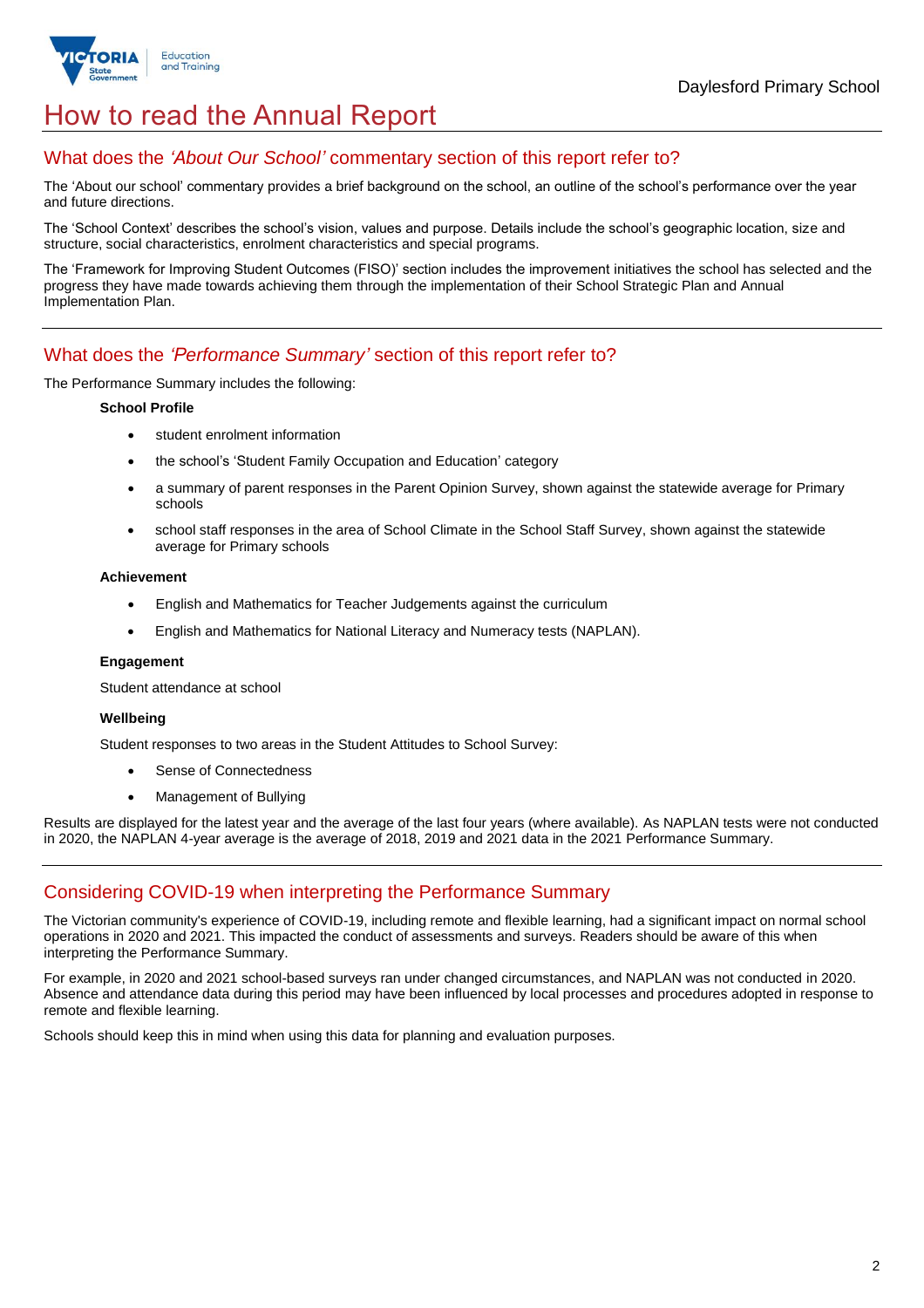

## How to read the Annual Report

## What does the *'About Our School'* commentary section of this report refer to?

The 'About our school' commentary provides a brief background on the school, an outline of the school's performance over the year and future directions.

The 'School Context' describes the school's vision, values and purpose. Details include the school's geographic location, size and structure, social characteristics, enrolment characteristics and special programs.

The 'Framework for Improving Student Outcomes (FISO)' section includes the improvement initiatives the school has selected and the progress they have made towards achieving them through the implementation of their School Strategic Plan and Annual Implementation Plan.

### What does the *'Performance Summary'* section of this report refer to?

The Performance Summary includes the following:

#### **School Profile**

- student enrolment information
- the school's 'Student Family Occupation and Education' category
- a summary of parent responses in the Parent Opinion Survey, shown against the statewide average for Primary schools
- school staff responses in the area of School Climate in the School Staff Survey, shown against the statewide average for Primary schools

#### **Achievement**

- English and Mathematics for Teacher Judgements against the curriculum
- English and Mathematics for National Literacy and Numeracy tests (NAPLAN).

#### **Engagement**

Student attendance at school

#### **Wellbeing**

Student responses to two areas in the Student Attitudes to School Survey:

- Sense of Connectedness
- Management of Bullying

Results are displayed for the latest year and the average of the last four years (where available). As NAPLAN tests were not conducted in 2020, the NAPLAN 4-year average is the average of 2018, 2019 and 2021 data in the 2021 Performance Summary.

### Considering COVID-19 when interpreting the Performance Summary

The Victorian community's experience of COVID-19, including remote and flexible learning, had a significant impact on normal school operations in 2020 and 2021. This impacted the conduct of assessments and surveys. Readers should be aware of this when interpreting the Performance Summary.

For example, in 2020 and 2021 school-based surveys ran under changed circumstances, and NAPLAN was not conducted in 2020. Absence and attendance data during this period may have been influenced by local processes and procedures adopted in response to remote and flexible learning.

Schools should keep this in mind when using this data for planning and evaluation purposes.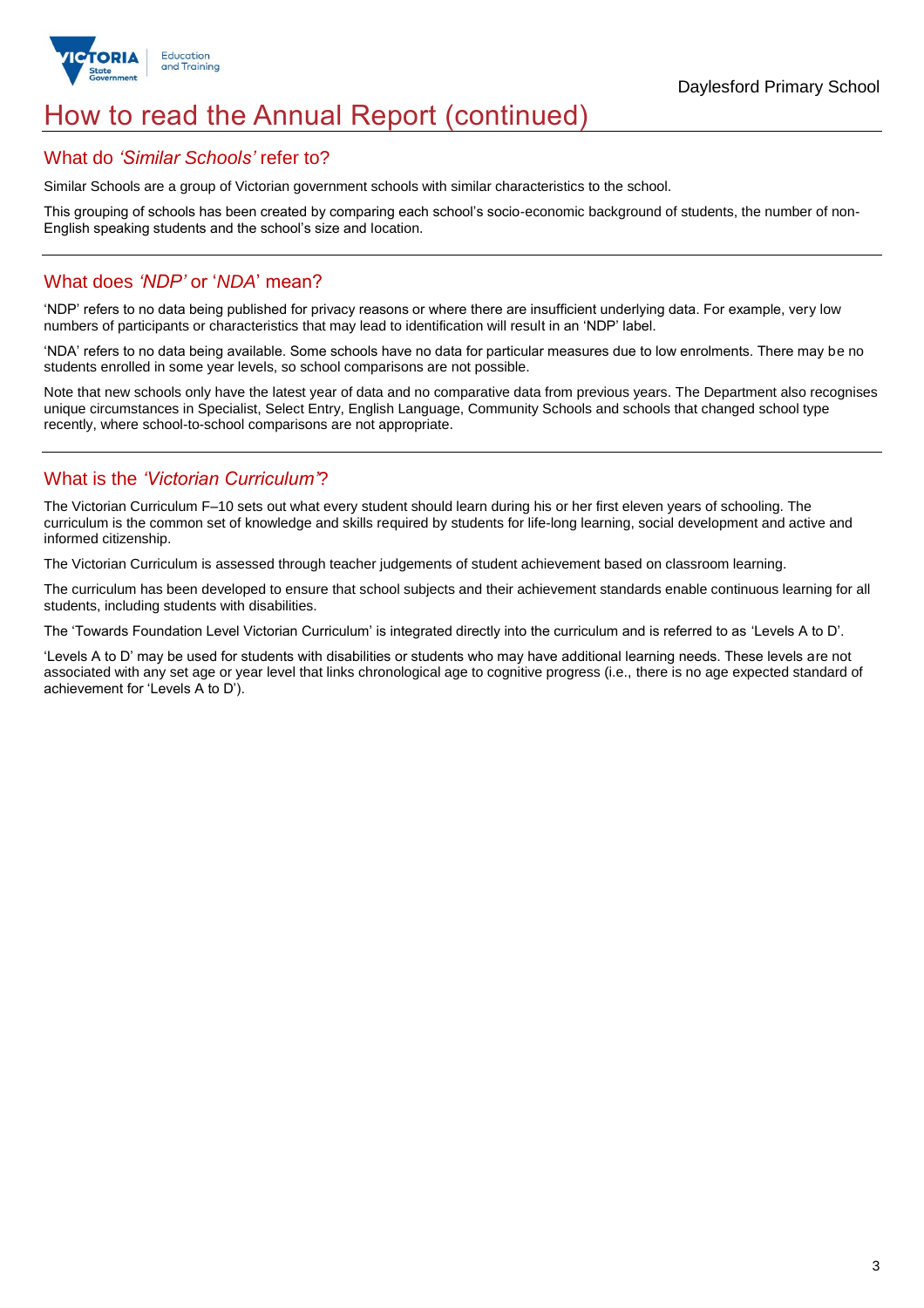

## How to read the Annual Report (continued)

### What do *'Similar Schools'* refer to?

Similar Schools are a group of Victorian government schools with similar characteristics to the school.

This grouping of schools has been created by comparing each school's socio-economic background of students, the number of non-English speaking students and the school's size and location.

## What does *'NDP'* or '*NDA*' mean?

'NDP' refers to no data being published for privacy reasons or where there are insufficient underlying data. For example, very low numbers of participants or characteristics that may lead to identification will result in an 'NDP' label.

'NDA' refers to no data being available. Some schools have no data for particular measures due to low enrolments. There may be no students enrolled in some year levels, so school comparisons are not possible.

Note that new schools only have the latest year of data and no comparative data from previous years. The Department also recognises unique circumstances in Specialist, Select Entry, English Language, Community Schools and schools that changed school type recently, where school-to-school comparisons are not appropriate.

## What is the *'Victorian Curriculum'*?

The Victorian Curriculum F–10 sets out what every student should learn during his or her first eleven years of schooling. The curriculum is the common set of knowledge and skills required by students for life-long learning, social development and active and informed citizenship.

The Victorian Curriculum is assessed through teacher judgements of student achievement based on classroom learning.

The curriculum has been developed to ensure that school subjects and their achievement standards enable continuous learning for all students, including students with disabilities.

The 'Towards Foundation Level Victorian Curriculum' is integrated directly into the curriculum and is referred to as 'Levels A to D'.

'Levels A to D' may be used for students with disabilities or students who may have additional learning needs. These levels are not associated with any set age or year level that links chronological age to cognitive progress (i.e., there is no age expected standard of achievement for 'Levels A to D').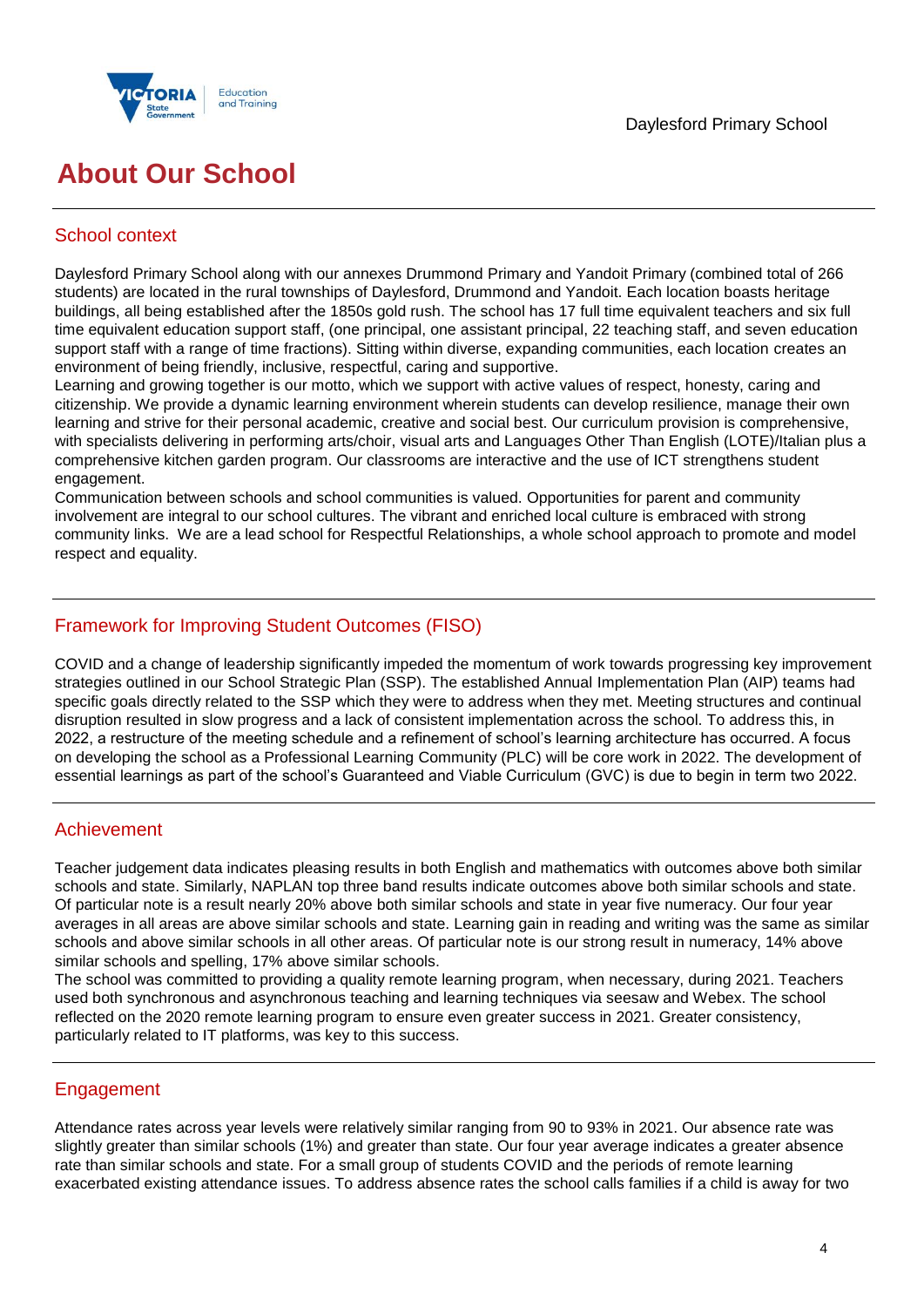



## **About Our School**

## School context

Daylesford Primary School along with our annexes Drummond Primary and Yandoit Primary (combined total of 266 students) are located in the rural townships of Daylesford, Drummond and Yandoit. Each location boasts heritage buildings, all being established after the 1850s gold rush. The school has 17 full time equivalent teachers and six full time equivalent education support staff, (one principal, one assistant principal, 22 teaching staff, and seven education support staff with a range of time fractions). Sitting within diverse, expanding communities, each location creates an environment of being friendly, inclusive, respectful, caring and supportive.

Learning and growing together is our motto, which we support with active values of respect, honesty, caring and citizenship. We provide a dynamic learning environment wherein students can develop resilience, manage their own learning and strive for their personal academic, creative and social best. Our curriculum provision is comprehensive, with specialists delivering in performing arts/choir, visual arts and Languages Other Than English (LOTE)/Italian plus a comprehensive kitchen garden program. Our classrooms are interactive and the use of ICT strengthens student engagement.

Communication between schools and school communities is valued. Opportunities for parent and community involvement are integral to our school cultures. The vibrant and enriched local culture is embraced with strong community links. We are a lead school for Respectful Relationships, a whole school approach to promote and model respect and equality.

## Framework for Improving Student Outcomes (FISO)

COVID and a change of leadership significantly impeded the momentum of work towards progressing key improvement strategies outlined in our School Strategic Plan (SSP). The established Annual Implementation Plan (AIP) teams had specific goals directly related to the SSP which they were to address when they met. Meeting structures and continual disruption resulted in slow progress and a lack of consistent implementation across the school. To address this, in 2022, a restructure of the meeting schedule and a refinement of school's learning architecture has occurred. A focus on developing the school as a Professional Learning Community (PLC) will be core work in 2022. The development of essential learnings as part of the school's Guaranteed and Viable Curriculum (GVC) is due to begin in term two 2022.

## Achievement

Teacher judgement data indicates pleasing results in both English and mathematics with outcomes above both similar schools and state. Similarly, NAPLAN top three band results indicate outcomes above both similar schools and state. Of particular note is a result nearly 20% above both similar schools and state in year five numeracy. Our four year averages in all areas are above similar schools and state. Learning gain in reading and writing was the same as similar schools and above similar schools in all other areas. Of particular note is our strong result in numeracy, 14% above similar schools and spelling, 17% above similar schools.

The school was committed to providing a quality remote learning program, when necessary, during 2021. Teachers used both synchronous and asynchronous teaching and learning techniques via seesaw and Webex. The school reflected on the 2020 remote learning program to ensure even greater success in 2021. Greater consistency, particularly related to IT platforms, was key to this success.

## **Engagement**

Attendance rates across year levels were relatively similar ranging from 90 to 93% in 2021. Our absence rate was slightly greater than similar schools (1%) and greater than state. Our four year average indicates a greater absence rate than similar schools and state. For a small group of students COVID and the periods of remote learning exacerbated existing attendance issues. To address absence rates the school calls families if a child is away for two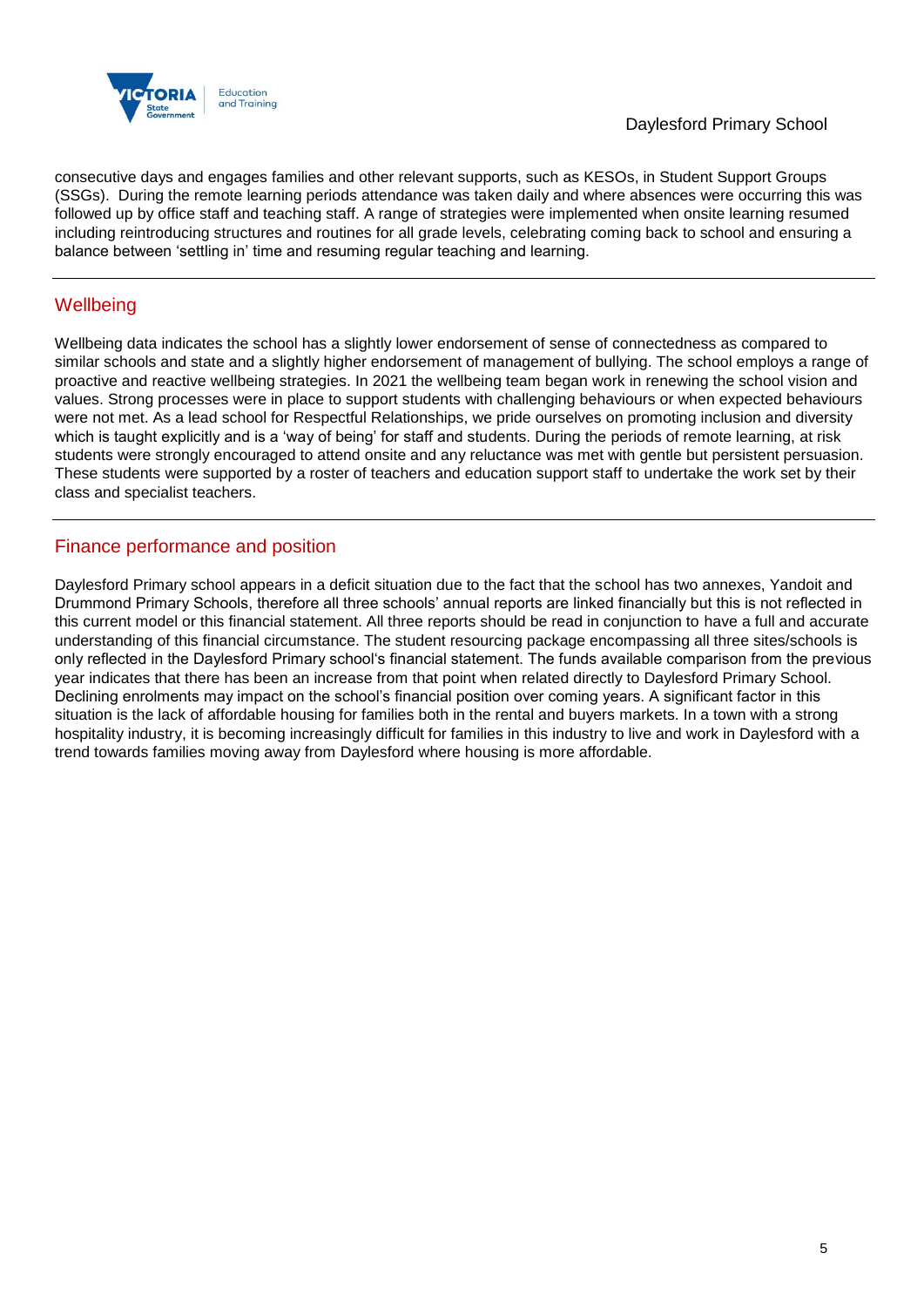

consecutive days and engages families and other relevant supports, such as KESOs, in Student Support Groups (SSGs). During the remote learning periods attendance was taken daily and where absences were occurring this was followed up by office staff and teaching staff. A range of strategies were implemented when onsite learning resumed including reintroducing structures and routines for all grade levels, celebrating coming back to school and ensuring a balance between 'settling in' time and resuming regular teaching and learning.

## **Wellbeing**

Wellbeing data indicates the school has a slightly lower endorsement of sense of connectedness as compared to similar schools and state and a slightly higher endorsement of management of bullying. The school employs a range of proactive and reactive wellbeing strategies. In 2021 the wellbeing team began work in renewing the school vision and values. Strong processes were in place to support students with challenging behaviours or when expected behaviours were not met. As a lead school for Respectful Relationships, we pride ourselves on promoting inclusion and diversity which is taught explicitly and is a 'way of being' for staff and students. During the periods of remote learning, at risk students were strongly encouraged to attend onsite and any reluctance was met with gentle but persistent persuasion. These students were supported by a roster of teachers and education support staff to undertake the work set by their class and specialist teachers.

## Finance performance and position

Daylesford Primary school appears in a deficit situation due to the fact that the school has two annexes, Yandoit and Drummond Primary Schools, therefore all three schools' annual reports are linked financially but this is not reflected in this current model or this financial statement. All three reports should be read in conjunction to have a full and accurate understanding of this financial circumstance. The student resourcing package encompassing all three sites/schools is only reflected in the Daylesford Primary school's financial statement. The funds available comparison from the previous year indicates that there has been an increase from that point when related directly to Daylesford Primary School. Declining enrolments may impact on the school's financial position over coming years. A significant factor in this situation is the lack of affordable housing for families both in the rental and buyers markets. In a town with a strong hospitality industry, it is becoming increasingly difficult for families in this industry to live and work in Daylesford with a trend towards families moving away from Daylesford where housing is more affordable.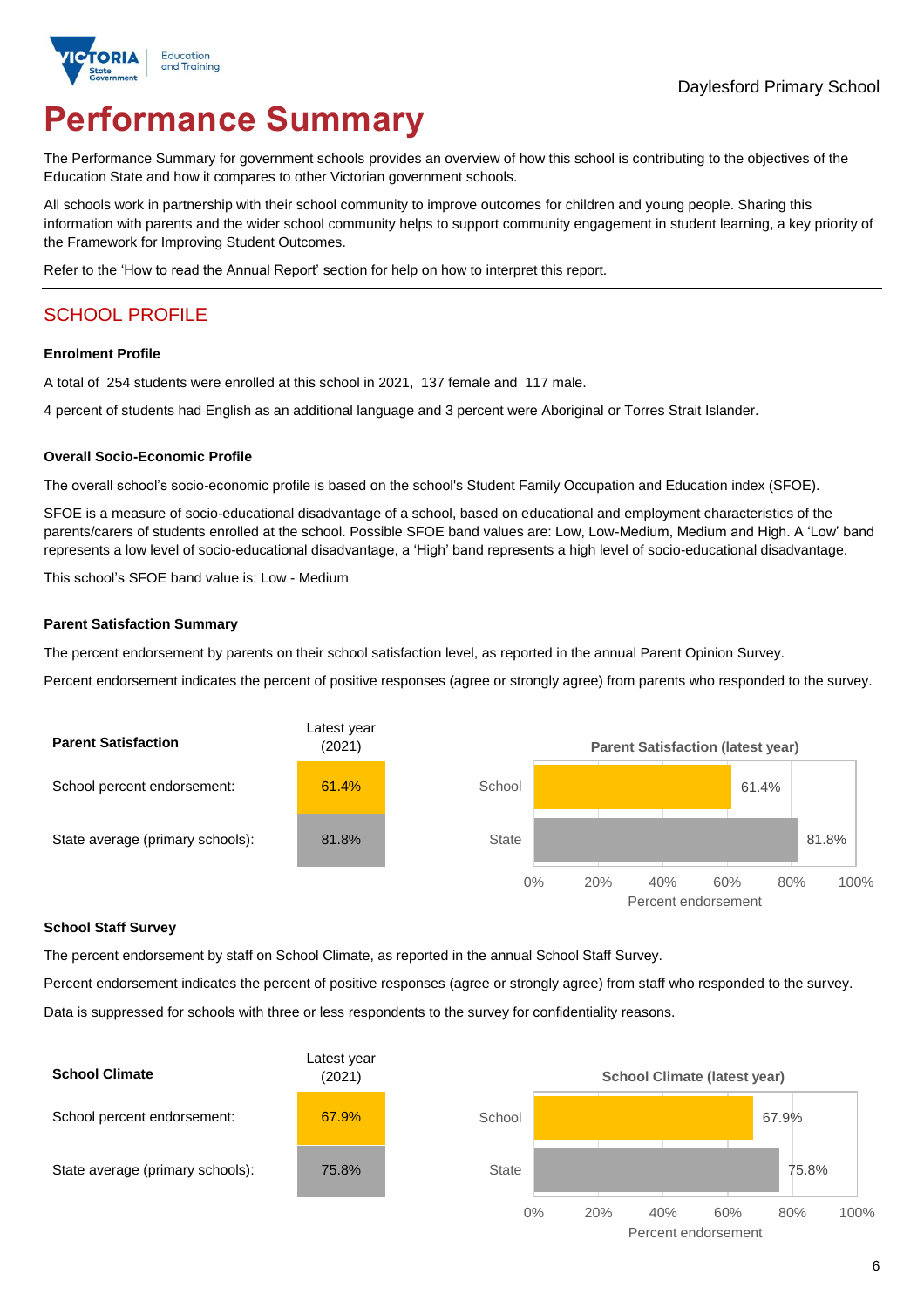

# **Performance Summary**

The Performance Summary for government schools provides an overview of how this school is contributing to the objectives of the Education State and how it compares to other Victorian government schools.

All schools work in partnership with their school community to improve outcomes for children and young people. Sharing this information with parents and the wider school community helps to support community engagement in student learning, a key priority of the Framework for Improving Student Outcomes.

Refer to the 'How to read the Annual Report' section for help on how to interpret this report.

## SCHOOL PROFILE

#### **Enrolment Profile**

A total of 254 students were enrolled at this school in 2021, 137 female and 117 male.

4 percent of students had English as an additional language and 3 percent were Aboriginal or Torres Strait Islander.

#### **Overall Socio-Economic Profile**

The overall school's socio-economic profile is based on the school's Student Family Occupation and Education index (SFOE).

SFOE is a measure of socio-educational disadvantage of a school, based on educational and employment characteristics of the parents/carers of students enrolled at the school. Possible SFOE band values are: Low, Low-Medium, Medium and High. A 'Low' band represents a low level of socio-educational disadvantage, a 'High' band represents a high level of socio-educational disadvantage.

This school's SFOE band value is: Low - Medium

#### **Parent Satisfaction Summary**

The percent endorsement by parents on their school satisfaction level, as reported in the annual Parent Opinion Survey.

Percent endorsement indicates the percent of positive responses (agree or strongly agree) from parents who responded to the survey.



#### **School Staff Survey**

The percent endorsement by staff on School Climate, as reported in the annual School Staff Survey.

Percent endorsement indicates the percent of positive responses (agree or strongly agree) from staff who responded to the survey. Data is suppressed for schools with three or less respondents to the survey for confidentiality reasons.

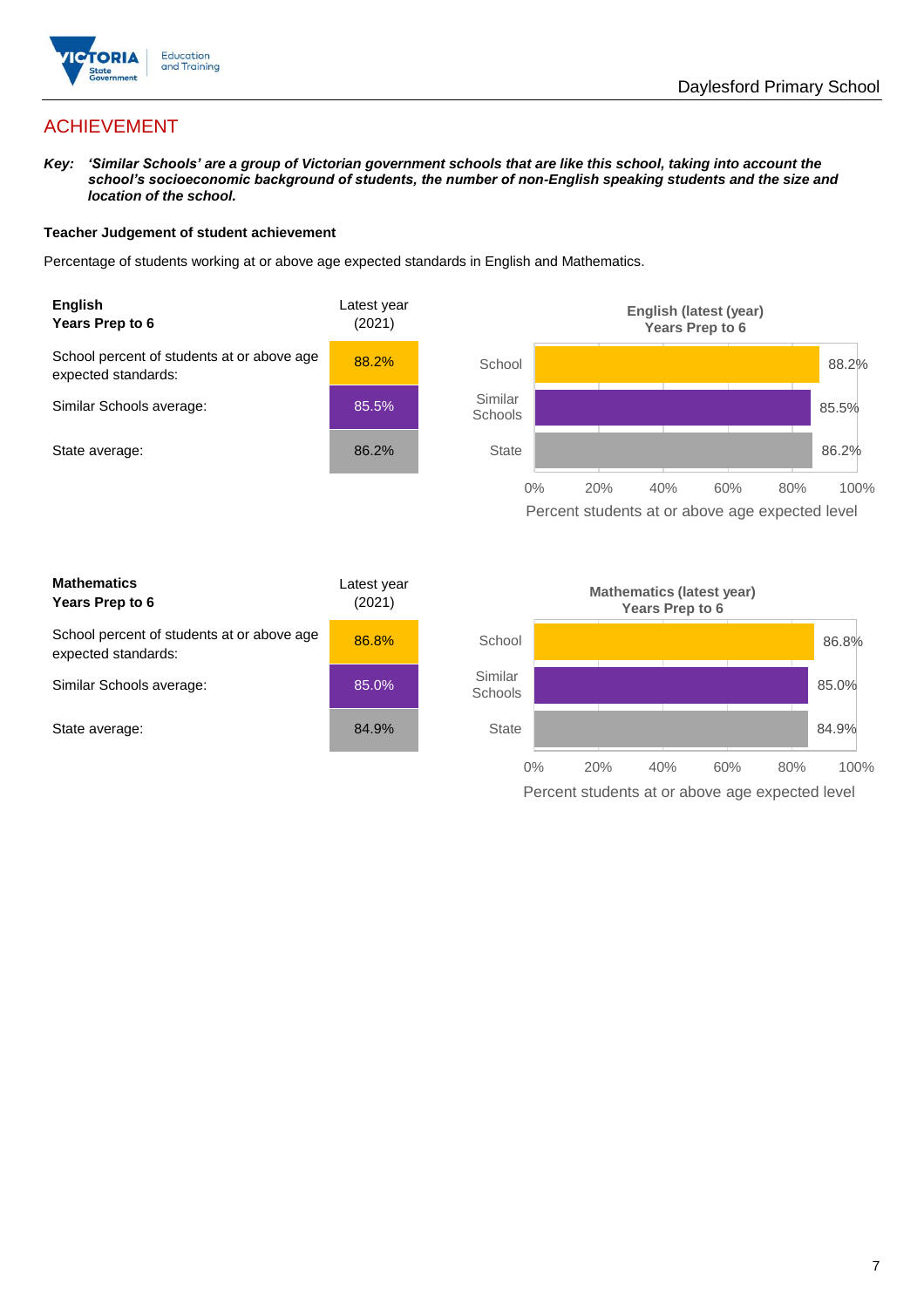

## ACHIEVEMENT

*Key: 'Similar Schools' are a group of Victorian government schools that are like this school, taking into account the school's socioeconomic background of students, the number of non-English speaking students and the size and location of the school.*

#### **Teacher Judgement of student achievement**

Percentage of students working at or above age expected standards in English and Mathematics.



Percent students at or above age expected level

| <b>Mathematics</b><br>Years Prep to 6                             | Latest year<br>(2021) |
|-------------------------------------------------------------------|-----------------------|
| School percent of students at or above age<br>expected standards: | 86.8%                 |
| Similar Schools average:                                          | 85.0%                 |
| State average:                                                    | 84.9%                 |

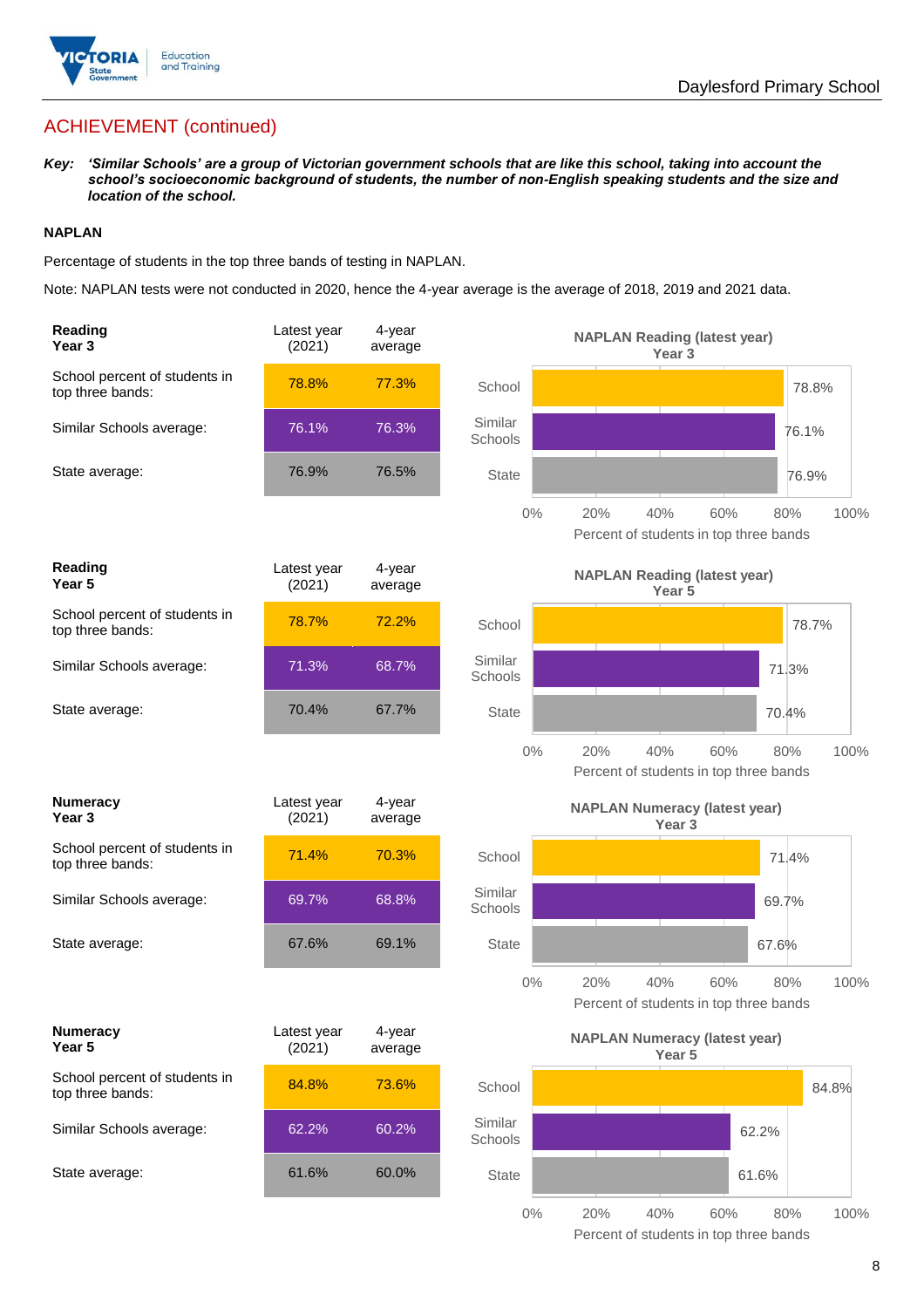

## ACHIEVEMENT (continued)

*Key: 'Similar Schools' are a group of Victorian government schools that are like this school, taking into account the school's socioeconomic background of students, the number of non-English speaking students and the size and location of the school.*

#### **NAPLAN**

Percentage of students in the top three bands of testing in NAPLAN.

Note: NAPLAN tests were not conducted in 2020, hence the 4-year average is the average of 2018, 2019 and 2021 data.

| Reading<br>Year <sub>3</sub>                      | Latest year<br>(2021) | 4-year<br>average |                    | <b>NAPLAN Reading (latest year)</b><br>Year <sub>3</sub>  |                                                              |
|---------------------------------------------------|-----------------------|-------------------|--------------------|-----------------------------------------------------------|--------------------------------------------------------------|
| School percent of students in<br>top three bands: | 78.8%                 | 77.3%             | School             |                                                           | 78.8%                                                        |
| Similar Schools average:                          | 76.1%                 | 76.3%             | Similar<br>Schools |                                                           | 76.1%                                                        |
| State average:                                    | 76.9%                 | 76.5%             | State              |                                                           | 76.9%                                                        |
|                                                   |                       |                   | $0\%$              | 20%<br>40%                                                | 60%<br>80%<br>100%<br>Percent of students in top three bands |
| <b>Reading</b><br>Year <sub>5</sub>               | Latest year<br>(2021) | 4-year<br>average |                    | <b>NAPLAN Reading (latest year)</b><br>Year <sub>5</sub>  |                                                              |
| School percent of students in<br>top three bands: | 78.7%                 | 72.2%             | School             |                                                           | 78.7%                                                        |
| Similar Schools average:                          | 71.3%                 | 68.7%             | Similar<br>Schools |                                                           | 71.3%                                                        |
| State average:                                    | 70.4%                 | 67.7%             | <b>State</b>       |                                                           | 70.4%                                                        |
|                                                   |                       |                   | $0\%$              | 20%<br>40%<br>Percent of students in top three bands      | 60%<br>80%<br>100%                                           |
| <b>Numeracy</b><br>Year 3                         | Latest year<br>(2021) | 4-year<br>average |                    | <b>NAPLAN Numeracy (latest year)</b><br>Year <sub>3</sub> |                                                              |
| School percent of students in<br>top three bands: | 71.4%                 | 70.3%             | School             |                                                           | 71.4%                                                        |
| Similar Schools average:                          | 69.7%                 | 68.8%             | Similar<br>Schools |                                                           | 69.7%                                                        |
| State average:                                    | 67.6%                 | 69.1%             | <b>State</b>       |                                                           | 67.6%                                                        |
|                                                   |                       |                   | 0%                 | 20%<br>40%                                                | 100%<br>60%<br>80%<br>Percent of students in top three bands |
| <b>Numeracy</b><br>Year 5                         | Latest year<br>(2021) | 4-year<br>average |                    | <b>NAPLAN Numeracy (latest year)</b><br>Year <sub>5</sub> |                                                              |
| School percent of students in<br>top three bands: | 84.8%                 | 73.6%             | School             |                                                           | 84.8%                                                        |
| Similar Schools average:                          | 62.2%                 | 60.2%             | Similar<br>Schools |                                                           | 62.2%                                                        |
| State average:                                    | 61.6%                 | 60.0%             | State              |                                                           | 61.6%                                                        |
|                                                   |                       |                   | $0\%$              | 20%<br>40%                                                | 60%<br>80%<br>100%                                           |

Percent of students in top three bands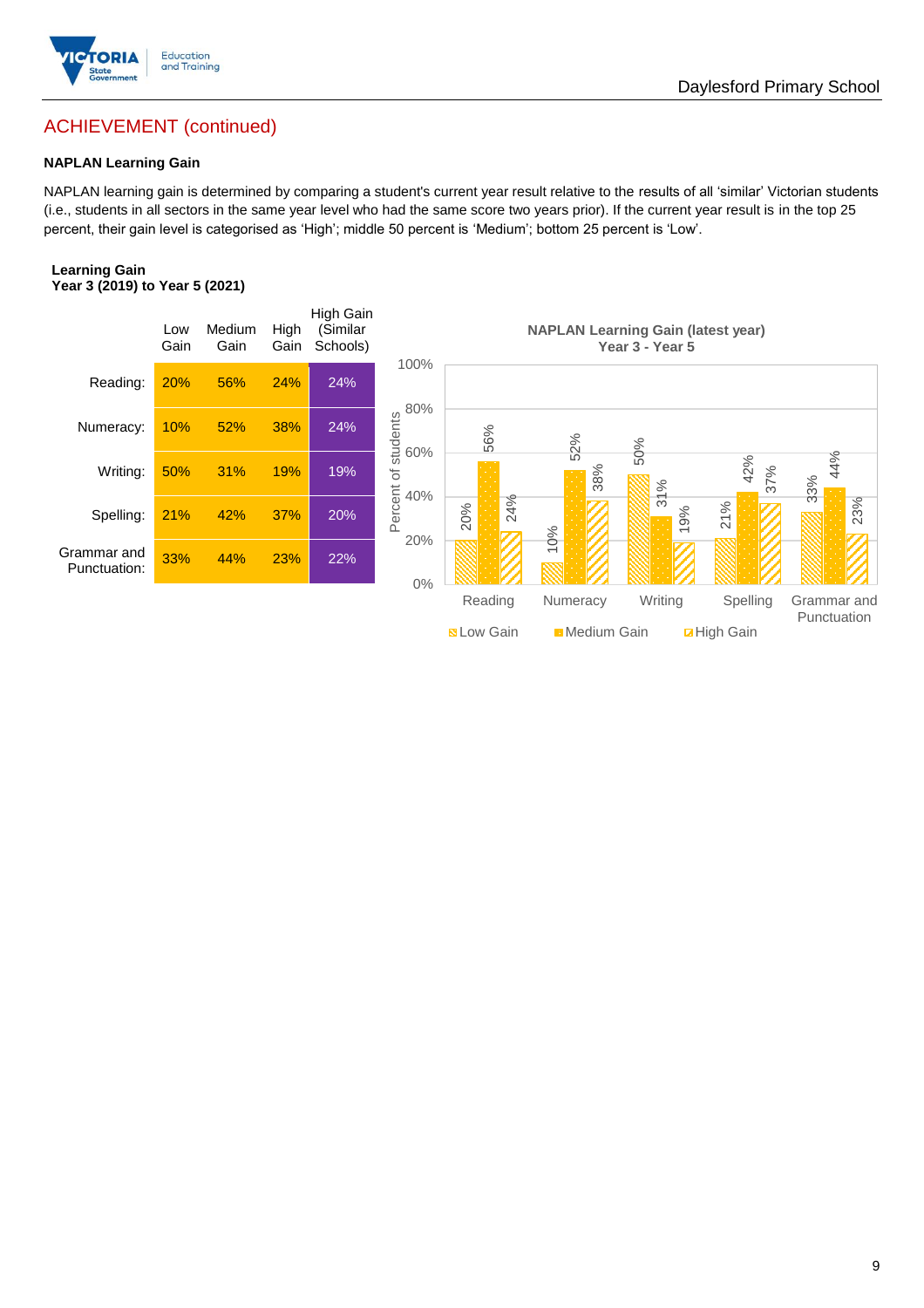

## Daylesford Primary School

## ACHIEVEMENT (continued)

#### **NAPLAN Learning Gain**

NAPLAN learning gain is determined by comparing a student's current year result relative to the results of all 'similar' Victorian students (i.e., students in all sectors in the same year level who had the same score two years prior). If the current year result is in the top 25 percent, their gain level is categorised as 'High'; middle 50 percent is 'Medium'; bottom 25 percent is 'Low'.

#### **Learning Gain Year 3 (2019) to Year 5 (2021)**

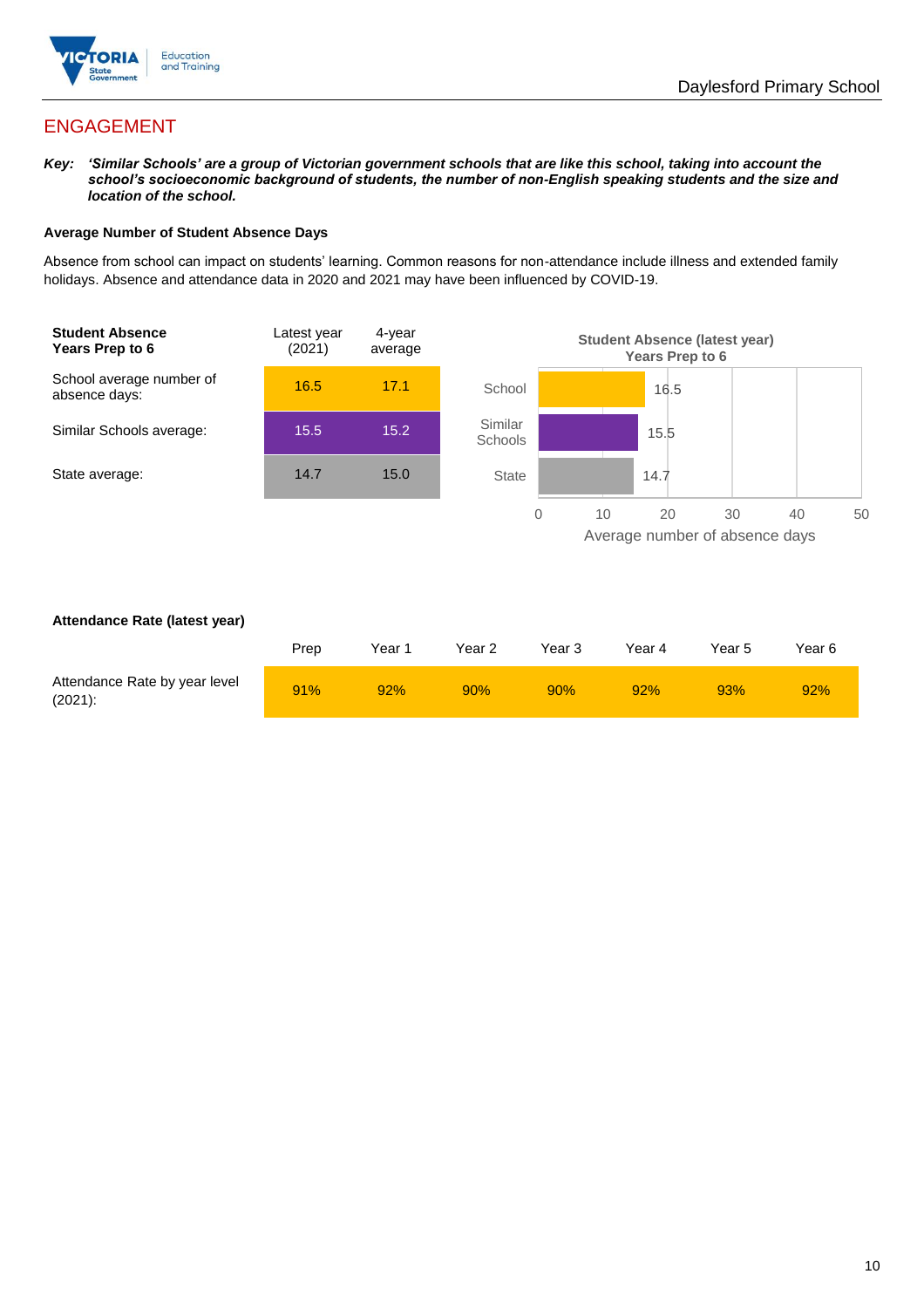

## ENGAGEMENT

*Key: 'Similar Schools' are a group of Victorian government schools that are like this school, taking into account the school's socioeconomic background of students, the number of non-English speaking students and the size and location of the school.*

#### **Average Number of Student Absence Days**

Absence from school can impact on students' learning. Common reasons for non-attendance include illness and extended family holidays. Absence and attendance data in 2020 and 2021 may have been influenced by COVID-19.



#### **Attendance Rate (latest year)**

|                                             | Prep | Year 1 | Year 2 | Year 3 | Year 4 | Year 5 | Year 6 |
|---------------------------------------------|------|--------|--------|--------|--------|--------|--------|
| Attendance Rate by year level<br>$(2021)$ : | 91%  | 92%    | 90%    | 90%    | 92%    | 93%    | 92%    |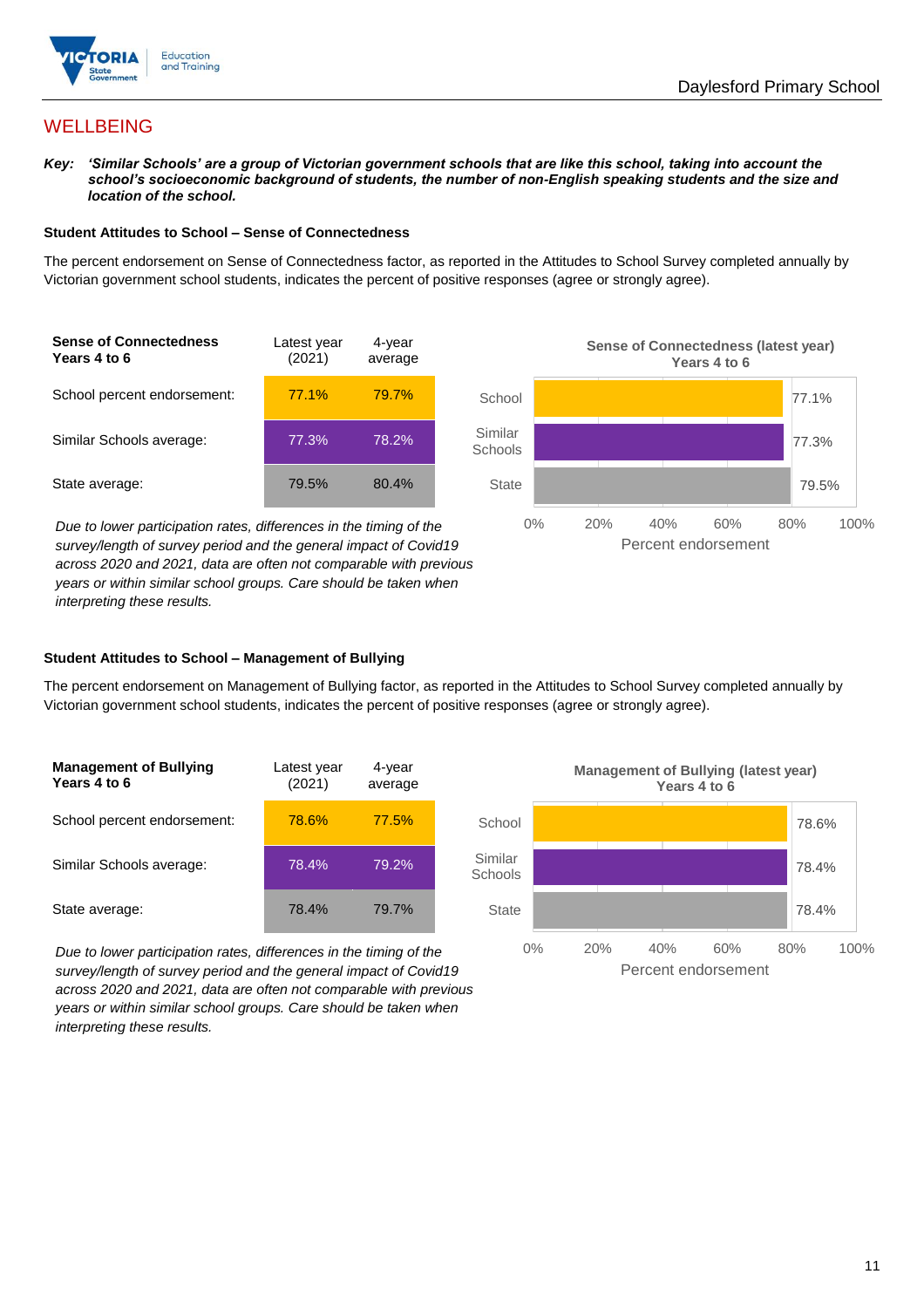

## **WELLBEING**

*Key: 'Similar Schools' are a group of Victorian government schools that are like this school, taking into account the school's socioeconomic background of students, the number of non-English speaking students and the size and location of the school.*

#### **Student Attitudes to School – Sense of Connectedness**

The percent endorsement on Sense of Connectedness factor, as reported in the Attitudes to School Survey completed annually by Victorian government school students, indicates the percent of positive responses (agree or strongly agree).



*Due to lower participation rates, differences in the timing of the survey/length of survey period and the general impact of Covid19 across 2020 and 2021, data are often not comparable with previous years or within similar school groups. Care should be taken when interpreting these results.*



#### **Student Attitudes to School – Management of Bullying**

The percent endorsement on Management of Bullying factor, as reported in the Attitudes to School Survey completed annually by Victorian government school students, indicates the percent of positive responses (agree or strongly agree).

| <b>Management of Bullying</b><br>Years 4 to 6 | Latest year<br>(2021) | 4-year<br>average |  |
|-----------------------------------------------|-----------------------|-------------------|--|
| School percent endorsement:                   | 78.6%                 | 77.5%             |  |
| Similar Schools average:                      | 78.4%                 | 79.2%             |  |
| State average:                                | 78.4%                 | 79.7%             |  |

*Due to lower participation rates, differences in the timing of the survey/length of survey period and the general impact of Covid19 across 2020 and 2021, data are often not comparable with previous years or within similar school groups. Care should be taken when interpreting these results.*

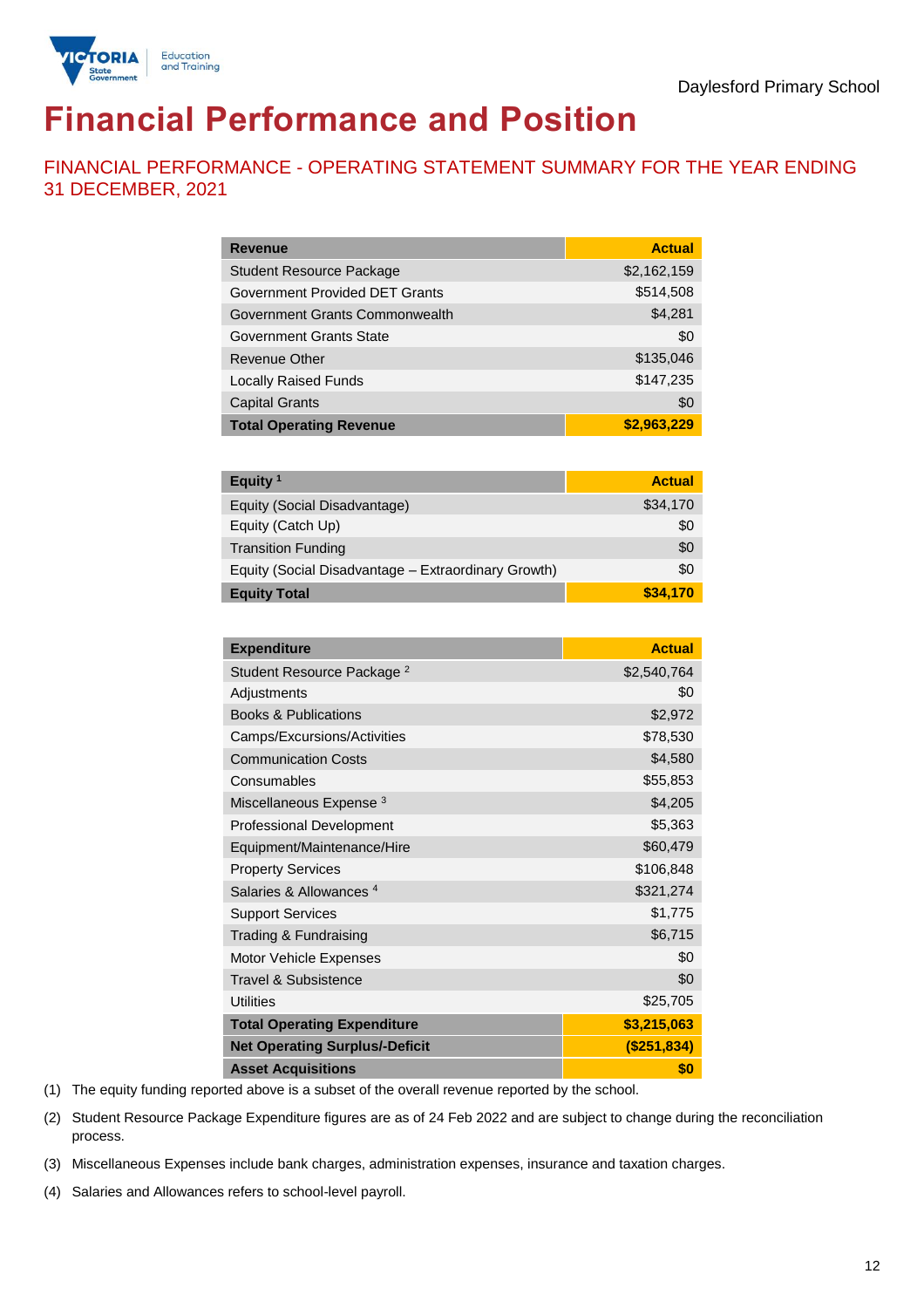

## **Financial Performance and Position**

FINANCIAL PERFORMANCE - OPERATING STATEMENT SUMMARY FOR THE YEAR ENDING 31 DECEMBER, 2021

| <b>Revenue</b>                  | <b>Actual</b> |
|---------------------------------|---------------|
| <b>Student Resource Package</b> | \$2,162,159   |
| Government Provided DET Grants  | \$514,508     |
| Government Grants Commonwealth  | \$4,281       |
| Government Grants State         | \$0           |
| <b>Revenue Other</b>            | \$135,046     |
| <b>Locally Raised Funds</b>     | \$147,235     |
| <b>Capital Grants</b>           | \$0           |
| <b>Total Operating Revenue</b>  | \$2,963,229   |

| Equity <sup>1</sup>                                 | <b>Actual</b> |
|-----------------------------------------------------|---------------|
| Equity (Social Disadvantage)                        | \$34,170      |
| Equity (Catch Up)                                   | \$0           |
| <b>Transition Funding</b>                           | \$0           |
| Equity (Social Disadvantage - Extraordinary Growth) | \$0           |
| <b>Equity Total</b>                                 | \$34,170      |

| <b>Expenditure</b>                    | <b>Actual</b> |
|---------------------------------------|---------------|
| Student Resource Package <sup>2</sup> | \$2,540,764   |
| Adjustments                           | \$0           |
| <b>Books &amp; Publications</b>       | \$2,972       |
| Camps/Excursions/Activities           | \$78,530      |
| <b>Communication Costs</b>            | \$4,580       |
| Consumables                           | \$55,853      |
| Miscellaneous Expense <sup>3</sup>    | \$4,205       |
| <b>Professional Development</b>       | \$5,363       |
| Equipment/Maintenance/Hire            | \$60,479      |
| <b>Property Services</b>              | \$106,848     |
| Salaries & Allowances <sup>4</sup>    | \$321,274     |
| <b>Support Services</b>               | \$1,775       |
| Trading & Fundraising                 | \$6,715       |
| Motor Vehicle Expenses                | \$0           |
| Travel & Subsistence                  | \$0           |
| <b>Utilities</b>                      | \$25,705      |
| <b>Total Operating Expenditure</b>    | \$3,215,063   |
| <b>Net Operating Surplus/-Deficit</b> | (\$251,834)   |
| <b>Asset Acquisitions</b>             | \$0           |

(1) The equity funding reported above is a subset of the overall revenue reported by the school.

(2) Student Resource Package Expenditure figures are as of 24 Feb 2022 and are subject to change during the reconciliation process.

(3) Miscellaneous Expenses include bank charges, administration expenses, insurance and taxation charges.

(4) Salaries and Allowances refers to school-level payroll.